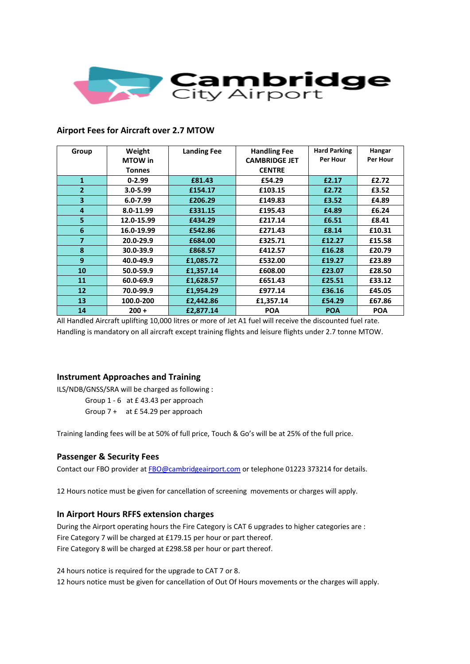

### **Airport Fees for Aircraft over 2.7 MTOW**

| Group          | Weight         | <b>Landing Fee</b> | <b>Handling Fee</b>  | <b>Hard Parking</b> | Hangar     |
|----------------|----------------|--------------------|----------------------|---------------------|------------|
|                | <b>MTOW</b> in |                    | <b>CAMBRIDGE JET</b> | Per Hour            | Per Hour   |
|                | <b>Tonnes</b>  |                    | <b>CENTRE</b>        |                     |            |
| $\mathbf{1}$   | $0 - 2.99$     | £81.43             | £54.29               | £2.17               | £2.72      |
| $\overline{2}$ | $3.0 - 5.99$   | £154.17            | £103.15              | £2.72               | £3.52      |
| 3              | $6.0 - 7.99$   | £206.29            | £149.83              | £3.52               | £4.89      |
| 4              | 8.0-11.99      | £331.15            | £195.43              | £4.89               | £6.24      |
| 5              | 12.0-15.99     | £434.29            | £217.14              | £6.51               | £8.41      |
| 6              | 16.0-19.99     | £542.86            | £271.43              | £8.14               | £10.31     |
| $\overline{7}$ | 20.0-29.9      | £684.00            | £325.71              | £12.27              | £15.58     |
| 8              | 30.0-39.9      | £868.57            | £412.57              | £16.28              | £20.79     |
| 9              | 40.0-49.9      | £1,085.72          | £532.00              | £19.27              | £23.89     |
| 10             | 50.0-59.9      | £1,357.14          | £608.00              | £23.07              | £28.50     |
| 11             | 60.0-69.9      | £1,628.57          | £651.43              | £25.51              | £33.12     |
| 12             | 70.0-99.9      | £1,954.29          | £977.14              | £36.16              | £45.05     |
| 13             | 100.0-200      | £2,442.86          | £1,357.14            | £54.29              | £67.86     |
| 14             | $200 +$        | £2,877.14          | <b>POA</b>           | <b>POA</b>          | <b>POA</b> |

All Handled Aircraft uplifting 10,000 litres or more of Jet A1 fuel will receive the discounted fuel rate. Handling is mandatory on all aircraft except training flights and leisure flights under 2.7 tonne MTOW.

#### **Instrument Approaches and Training**

ILS/NDB/GNSS/SRA will be charged as following :

Group 1 - 6 at £ 43.43 per approach Group 7 + at £ 54.29 per approach

Training landing fees will be at 50% of full price, Touch & Go's will be at 25% of the full price.

#### **Passenger & Security Fees**

Contact our FBO provider at [FBO@cambridgeairport.com](mailto:FBO@cambridgeairport.com) or telephone 01223 373214 for details.

12 Hours notice must be given for cancellation of screening movements or charges will apply.

#### **In Airport Hours RFFS extension charges**

During the Airport operating hours the Fire Category is CAT 6 upgrades to higher categories are : Fire Category 7 will be charged at £179.15 per hour or part thereof. Fire Category 8 will be charged at £298.58 per hour or part thereof.

24 hours notice is required for the upgrade to CAT 7 or 8.

12 hours notice must be given for cancellation of Out Of Hours movements or the charges will apply.